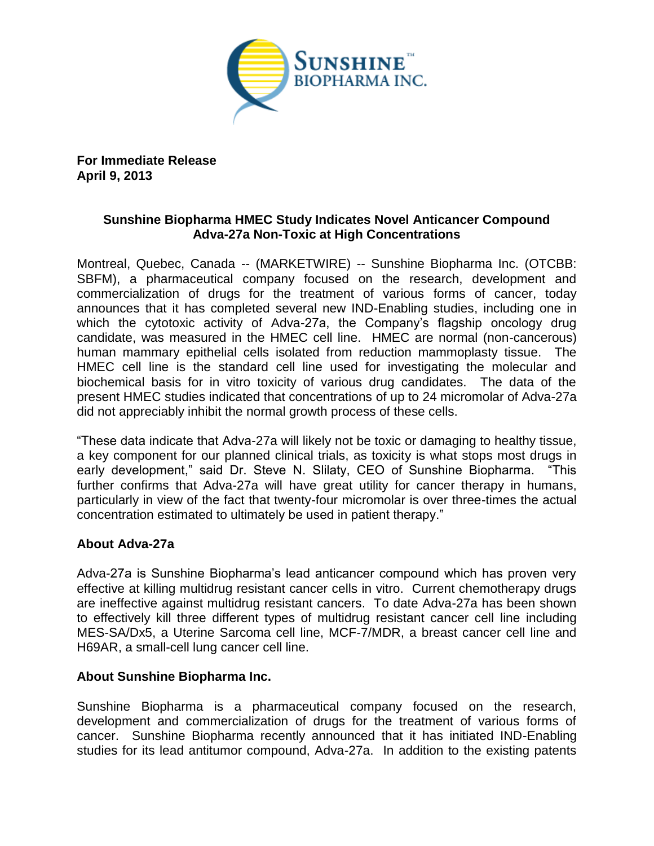

**For Immediate Release April 9, 2013**

# **Sunshine Biopharma HMEC Study Indicates Novel Anticancer Compound Adva-27a Non-Toxic at High Concentrations**

Montreal, Quebec, Canada -- (MARKETWIRE) -- Sunshine Biopharma Inc. (OTCBB: SBFM), a pharmaceutical company focused on the research, development and commercialization of drugs for the treatment of various forms of cancer, today announces that it has completed several new IND-Enabling studies, including one in which the cytotoxic activity of Adva-27a, the Company's flagship oncology drug candidate, was measured in the HMEC cell line. HMEC are normal (non-cancerous) human mammary epithelial cells isolated from reduction mammoplasty tissue. The HMEC cell line is the standard cell line used for investigating the molecular and biochemical basis for in vitro toxicity of various drug candidates. The data of the present HMEC studies indicated that concentrations of up to 24 micromolar of Adva-27a did not appreciably inhibit the normal growth process of these cells.

"These data indicate that Adva-27a will likely not be toxic or damaging to healthy tissue, a key component for our planned clinical trials, as toxicity is what stops most drugs in early development," said Dr. Steve N. Slilaty, CEO of Sunshine Biopharma. "This further confirms that Adva-27a will have great utility for cancer therapy in humans, particularly in view of the fact that twenty-four micromolar is over three-times the actual concentration estimated to ultimately be used in patient therapy."

## **About Adva-27a**

Adva-27a is Sunshine Biopharma's lead anticancer compound which has proven very effective at killing multidrug resistant cancer cells in vitro. Current chemotherapy drugs are ineffective against multidrug resistant cancers. To date Adva-27a has been shown to effectively kill three different types of multidrug resistant cancer cell line including MES-SA/Dx5, a Uterine Sarcoma cell line, MCF-7/MDR, a breast cancer cell line and H69AR, a small-cell lung cancer cell line.

## **About Sunshine Biopharma Inc.**

Sunshine Biopharma is a pharmaceutical company focused on the research, development and commercialization of drugs for the treatment of various forms of cancer. Sunshine Biopharma recently announced that it has initiated IND-Enabling studies for its lead antitumor compound, Adva-27a. In addition to the existing patents